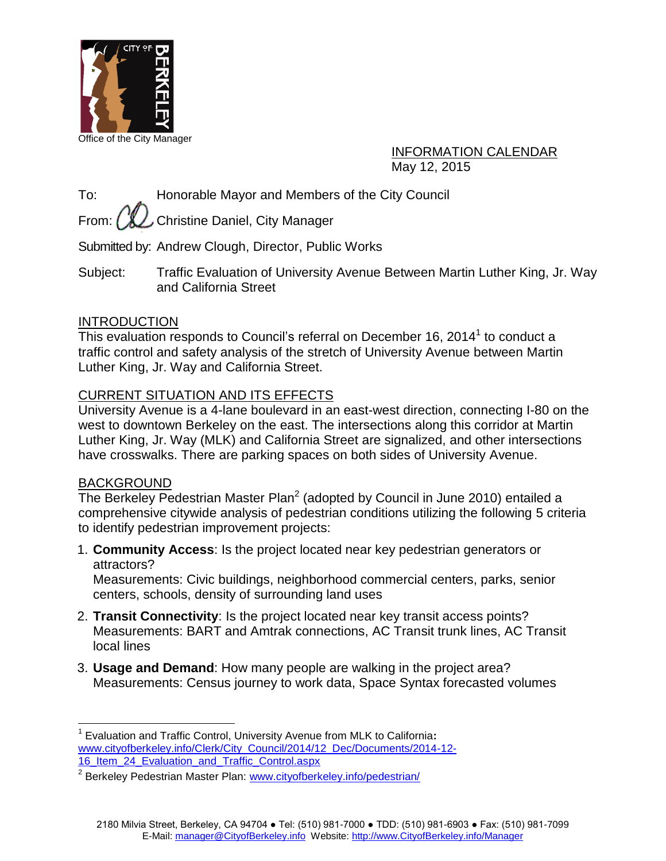

INFORMATION CALENDAR May 12, 2015

To: Honorable Mayor and Members of the City Council

From:  $\left(\mathcal{H}\right)$  Christine Daniel, City Manager

Submitted by: Andrew Clough, Director, Public Works

Subject: Traffic Evaluation of University Avenue Between Martin Luther King, Jr. Way and California Street

#### INTRODUCTION

This evaluation responds to Council's referral on December 16, 2014 $^1$  to conduct a traffic control and safety analysis of the stretch of University Avenue between Martin Luther King, Jr. Way and California Street.

#### CURRENT SITUATION AND ITS EFFECTS

University Avenue is a 4-lane boulevard in an east-west direction, connecting I-80 on the west to downtown Berkeley on the east. The intersections along this corridor at Martin Luther King, Jr. Way (MLK) and California Street are signalized, and other intersections have crosswalks. There are parking spaces on both sides of University Avenue.

#### BACKGROUND

The Berkeley Pedestrian Master Plan<sup>2</sup> (adopted by Council in June 2010) entailed a comprehensive citywide analysis of pedestrian conditions utilizing the following 5 criteria to identify pedestrian improvement projects:

1. **Community Access**: Is the project located near key pedestrian generators or attractors?

Measurements: Civic buildings, neighborhood commercial centers, parks, senior centers, schools, density of surrounding land uses

- 2. **Transit Connectivity**: Is the project located near key transit access points? Measurements: BART and Amtrak connections, AC Transit trunk lines, AC Transit local lines
- 3. **Usage and Demand**: How many people are walking in the project area? Measurements: Census journey to work data, Space Syntax forecasted volumes

 $\overline{a}$ 1 Evaluation and Traffic Control, University Avenue from MLK to California**:**  [www.cityofberkeley.info/Clerk/City\\_Council/2014/12\\_Dec/Documents/2014-12-](http://www.cityofberkeley.info/Clerk/City_Council/2014/12_Dec/Documents/2014-12-16_Item_24_Evaluation_and_Traffic_Control.aspx) [16\\_Item\\_24\\_Evaluation\\_and\\_Traffic\\_Control.aspx](http://www.cityofberkeley.info/Clerk/City_Council/2014/12_Dec/Documents/2014-12-16_Item_24_Evaluation_and_Traffic_Control.aspx)

<sup>&</sup>lt;sup>2</sup> Berkeley Pedestrian Master Plan: [www.cityofberkeley.info/pedestrian/](http://www.cityofberkeley.info/pedestrian/)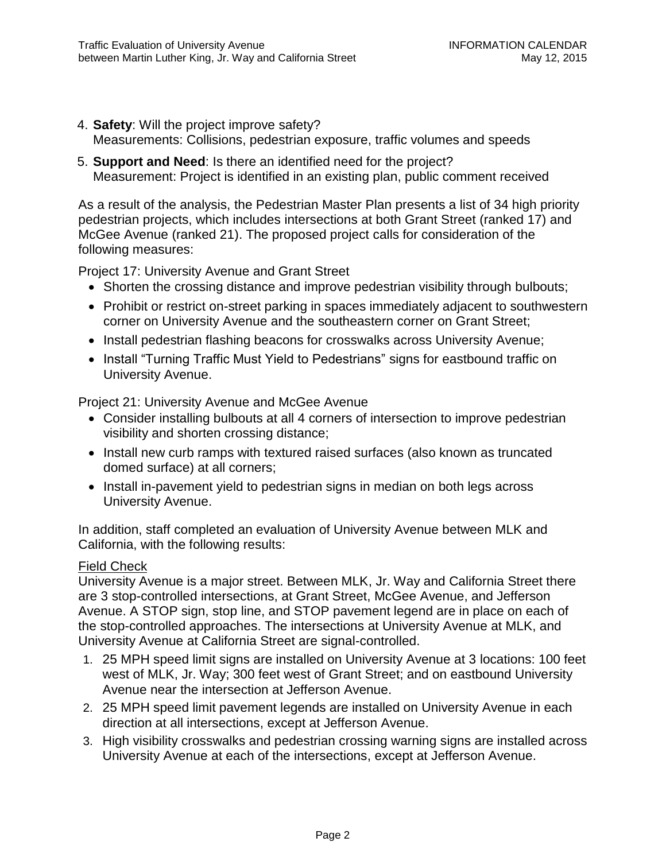- 4. **Safety**: Will the project improve safety?
	- Measurements: Collisions, pedestrian exposure, traffic volumes and speeds
- 5. **Support and Need**: Is there an identified need for the project? Measurement: Project is identified in an existing plan, public comment received

As a result of the analysis, the Pedestrian Master Plan presents a list of 34 high priority pedestrian projects, which includes intersections at both Grant Street (ranked 17) and McGee Avenue (ranked 21). The proposed project calls for consideration of the following measures:

Project 17: University Avenue and Grant Street

- Shorten the crossing distance and improve pedestrian visibility through bulbouts;
- Prohibit or restrict on-street parking in spaces immediately adjacent to southwestern corner on University Avenue and the southeastern corner on Grant Street;
- Install pedestrian flashing beacons for crosswalks across University Avenue;
- Install "Turning Traffic Must Yield to Pedestrians" signs for eastbound traffic on University Avenue.

Project 21: University Avenue and McGee Avenue

- Consider installing bulbouts at all 4 corners of intersection to improve pedestrian visibility and shorten crossing distance;
- Install new curb ramps with textured raised surfaces (also known as truncated domed surface) at all corners;
- Install in-pavement yield to pedestrian signs in median on both legs across University Avenue.

In addition, staff completed an evaluation of University Avenue between MLK and California, with the following results:

#### Field Check

University Avenue is a major street. Between MLK, Jr. Way and California Street there are 3 stop-controlled intersections, at Grant Street, McGee Avenue, and Jefferson Avenue. A STOP sign, stop line, and STOP pavement legend are in place on each of the stop-controlled approaches. The intersections at University Avenue at MLK, and University Avenue at California Street are signal-controlled.

- 1. 25 MPH speed limit signs are installed on University Avenue at 3 locations: 100 feet west of MLK, Jr. Way; 300 feet west of Grant Street; and on eastbound University Avenue near the intersection at Jefferson Avenue.
- 2. 25 MPH speed limit pavement legends are installed on University Avenue in each direction at all intersections, except at Jefferson Avenue.
- 3. High visibility crosswalks and pedestrian crossing warning signs are installed across University Avenue at each of the intersections, except at Jefferson Avenue.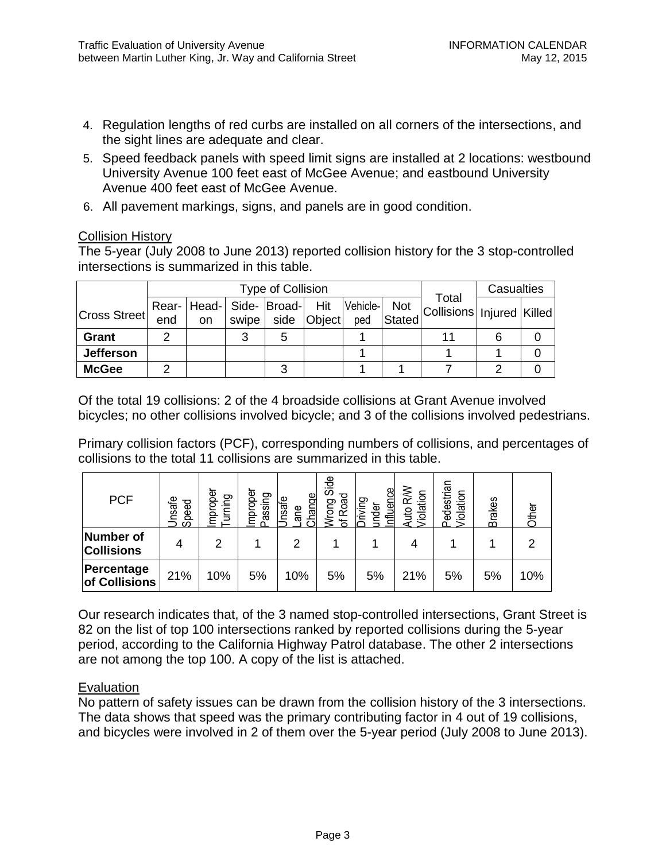- 4. Regulation lengths of red curbs are installed on all corners of the intersections, and the sight lines are adequate and clear.
- 5. Speed feedback panels with speed limit signs are installed at 2 locations: westbound University Avenue 100 feet east of McGee Avenue; and eastbound University Avenue 400 feet east of McGee Avenue.
- 6. All pavement markings, signs, and panels are in good condition.

#### Collision History

The 5-year (July 2008 to June 2013) reported collision history for the 3 stop-controlled intersections is summarized in this table.

|                     |     |                                                              |       | Type of Collision |             |     |        |                                              | Casualties |  |
|---------------------|-----|--------------------------------------------------------------|-------|-------------------|-------------|-----|--------|----------------------------------------------|------------|--|
| <b>Cross Street</b> | end | Rear-   Head-   Side-   Broad-  Hit   Vehicle- <br><b>on</b> | swipe |                   | side Object | ped | Stated | Total<br>I Not Collisions   Injured   Killed |            |  |
| <b>Grant</b>        |     |                                                              | 3     | 5                 |             |     |        |                                              |            |  |
| <b>Jefferson</b>    |     |                                                              |       |                   |             |     |        |                                              |            |  |
| <b>McGee</b>        |     |                                                              |       | ົ                 |             |     |        |                                              |            |  |

Of the total 19 collisions: 2 of the 4 broadside collisions at Grant Avenue involved bicycles; no other collisions involved bicycle; and 3 of the collisions involved pedestrians.

Primary collision factors (PCF), corresponding numbers of collisions, and percentages of collisions to the total 11 collisions are summarized in this table.

| <b>PCF</b>                     | nsafe<br>Speed | proper<br>purung<br><u>ε</u> | Improper<br>Passing | Change<br>Jnsafe<br>ane | Side<br>Road<br>Wrong<br>Ⴆ | Jence<br>Driving<br>under<br>릨 | RW<br><b>/iolation</b><br>Auto | Pedestrian<br>Violation | <b>Brakes</b> | Other |
|--------------------------------|----------------|------------------------------|---------------------|-------------------------|----------------------------|--------------------------------|--------------------------------|-------------------------|---------------|-------|
| Number of<br><b>Collisions</b> | 4              | 2                            |                     | 2                       |                            |                                |                                |                         |               | 2     |
| Percentage<br>of Collisions    | 21%            | 10%                          | 5%                  | 10%                     | 5%                         | 5%                             | 21%                            | 5%                      | 5%            | 10%   |

Our research indicates that, of the 3 named stop-controlled intersections, Grant Street is 82 on the list of top 100 intersections ranked by reported collisions during the 5-year period, according to the California Highway Patrol database. The other 2 intersections are not among the top 100. A copy of the list is attached.

#### Evaluation

No pattern of safety issues can be drawn from the collision history of the 3 intersections. The data shows that speed was the primary contributing factor in 4 out of 19 collisions, and bicycles were involved in 2 of them over the 5-year period (July 2008 to June 2013).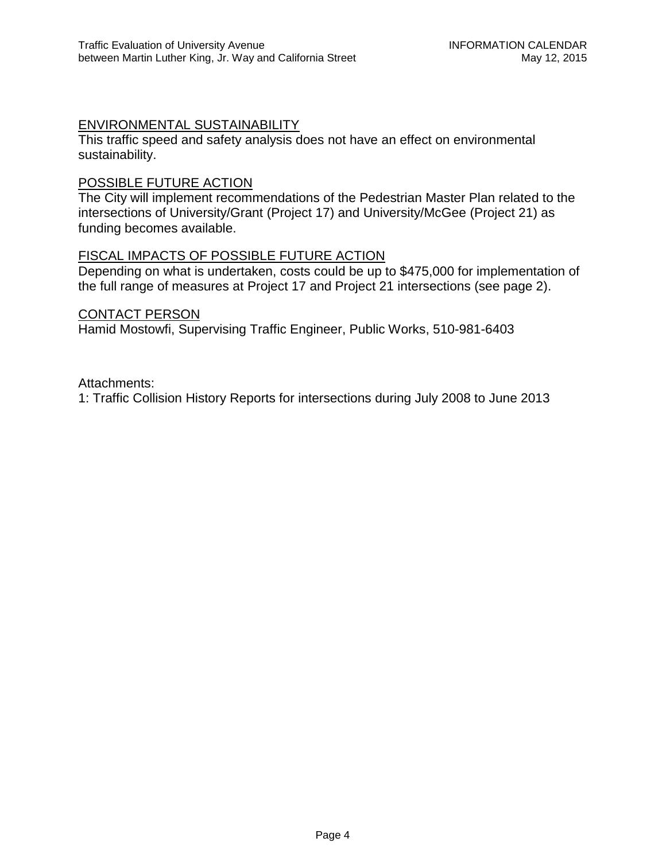#### ENVIRONMENTAL SUSTAINABILITY

This traffic speed and safety analysis does not have an effect on environmental sustainability.

#### POSSIBLE FUTURE ACTION

The City will implement recommendations of the Pedestrian Master Plan related to the intersections of University/Grant (Project 17) and University/McGee (Project 21) as funding becomes available.

#### FISCAL IMPACTS OF POSSIBLE FUTURE ACTION

Depending on what is undertaken, costs could be up to \$475,000 for implementation of the full range of measures at Project 17 and Project 21 intersections (see page 2).

#### CONTACT PERSON

Hamid Mostowfi, Supervising Traffic Engineer, Public Works, 510-981-6403

Attachments:

1: Traffic Collision History Reports for intersections during July 2008 to June 2013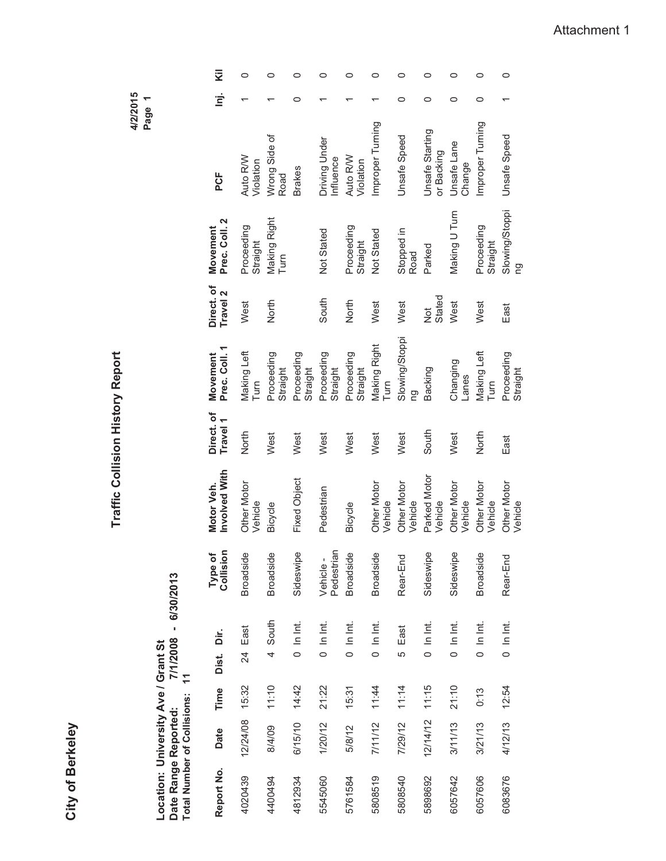City of Berkeley **City of Berkeley**

**Traffic Collision History Report Traffic Collision History Report**

**4/2/2015 Page 1**

Location: University Ave / Grant St<br>Date Range Reported: 7/1/2008 - 6/30/2013<br>Total Number of Collisions: 11 **Date Range Reported: 7/1/2008 - 6/30/2013 Location: University Ave / Grant St Total Number of Collisions: 11**

| Σ<br>É                            | 0                                               | 0<br>Wrong Side of           |              | 0<br>◠        | 0<br>Driving Under      | 0                                               | 0<br>Improper Turning         | 0<br>0<br><b>Unsafe Speed</b> | ○<br>0<br>Unsafe Starting | 0<br>◯<br>Unsafe Lane         | 0<br>0<br>Improper Turning |
|-----------------------------------|-------------------------------------------------|------------------------------|--------------|---------------|-------------------------|-------------------------------------------------|-------------------------------|-------------------------------|---------------------------|-------------------------------|----------------------------|
| PCF<br>Prec. Coll. 2<br>Movement  | Auto R/W<br>Violation<br>Proceeding<br>Straight | Road<br>Making Right<br>Turn |              | <b>Brakes</b> | Influence<br>Not Stated | Auto R/W<br>Violation<br>Proceeding<br>Straight | Not Stated                    | Stopped in<br>Road            | or Backing<br>Parked      | Change<br>Making U Turn       | Proceeding<br>Straight     |
| Direct. of<br>Travel <sub>2</sub> | West                                            | North                        |              |               | South                   | North                                           | West                          | West                          | Stated<br><b>D</b>        | West                          | West                       |
| Prec. Coll. 1<br>Movement         | Making Left<br>Turn                             | Proceeding<br>Straight       | Proceeding   | Straight      | Proceeding<br>Straight  | Proceeding<br>Straight                          | Making Right<br>Turn          | Slowing/Stoppi<br>pg          | Backing                   | Changing<br>-anes             | Making Left<br>Turn        |
| Direct. of<br>Travel 1            | North                                           | West                         | West         |               | West                    | West                                            | West                          | West                          | South                     | West                          | North                      |
| Involved With<br>Motor Veh.       | <b>Other Motor</b><br>Vehicle                   | Bicycle                      | Fixed Object |               | Pedestrian              | Bicycle                                         | <b>Other Motor</b><br>Vehicle | Other Motor<br>Vehicle        | Parked Motor<br>Vehicle   | <b>Other Motor</b><br>Vehicle | Other Motor<br>Vehicle     |
| Collision<br>Type of              | <b>Broadside</b>                                | <b>Broadside</b>             | Sideswipe    |               | Pedestrian<br>Vehicle-  | <b>Broadside</b>                                | <b>Broadside</b>              | Rear-End                      | Sideswipe                 | Sideswipe                     | <b>Broadside</b>           |
| Dist. Dir.                        | East<br>24                                      | 4 South                      | $0$ In Int.  |               | $0$ In Int.             | $0$ In Int.                                     | $0$ In Int.                   | 5 East                        | $0 \ln \ln t$             | $0 \ln \ln t$                 | $0 \ln \ln t$              |
| Time                              | 15:32                                           | 11:10                        | 14:42        |               | 21:22                   | 15:31                                           | 11:44                         | 11:14                         | 11:15                     | 21:10                         | 0:13                       |
| Date                              | 12/24/08                                        | 8/4/09                       | 6/15/10      |               | 1/20/12                 | 5/8/12                                          | 7/11/12                       | 7/29/12                       | 12/14/12                  | 3/11/13                       | 3/21/13                    |
| Report No.                        | 4020439                                         | 4400494                      | 4812934      |               | 5545060                 | 5761584                                         | 5808519                       | 5808540                       | 5898692                   | 6057642                       | 6057606                    |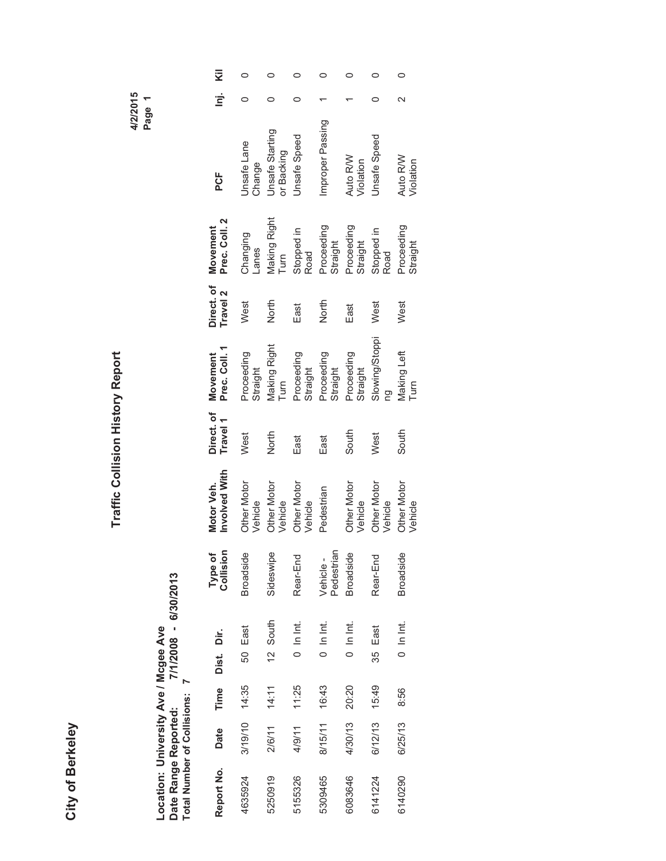### **City of Berkeley City of Berkeley**

# Traffic Collision History Report **Traffic Collision History Report**

**4/2/2015 Page 1**

## Location: University Ave / Mcgee Ave<br>Date Range Reported: 7/1/2008 - 6/30/2013<br>Total Number of Collisions: 7 **Date Range Reported: 7/1/2008 - 6/30/2013 Location: University Ave / Mcgee Ave Total Number of Collisions: 7**

| Report No. | Date    | Time  | Dist. Dir. |             | Type of<br>Collision   | Involved With<br>Motor Veh.   | Direct. of<br>Travel 1 | Prec. Coll. 1<br>Movement          | Direct. of I<br>Travel 2 | Prec. Coll. 2<br>Movement | PCF                           | <u>.</u><br>פ | Σ |
|------------|---------|-------|------------|-------------|------------------------|-------------------------------|------------------------|------------------------------------|--------------------------|---------------------------|-------------------------------|---------------|---|
| 4635924    | 3/19/10 | 14:35 |            | 50 East     | <b>Broadside</b>       | <b>Other Motor</b><br>Vehicle | West                   | Proceeding<br>Straight             | West                     | Changing<br>-anes         | Jnsafe Lane<br>Change         |               |   |
| 5250919    | 2/6/11  | 14:11 |            | 12 South    | Sideswipe              | <b>Other Motor</b><br>Vehicle | North                  | <b>Making Right</b><br><b>Turn</b> | North                    | Making Right<br>Turn      | Jnsafe Starting<br>or Backing |               |   |
| 5155326    | 4/9/11  | 11:25 |            | $0$ In Int. | Rear-End               | <b>Other Motor</b><br>Vehicle | East                   | Proceeding<br>Straight             | East                     | Stopped in<br>Road        | Unsafe Speed                  |               |   |
| 5309465    | 8/15/11 | 16:43 |            | $0$ In Int. | Pedestrian<br>Vehicle- | Pedestrian                    | East                   | Proceeding<br>Straight             | North                    | Proceeding<br>Straight    | mproper Passing               |               |   |
| 6083646    | 4/30/13 | 20:20 |            | $0$ In Int. | <b>Broadside</b>       | <b>Other Motor</b><br>Vehicle | South                  | Proceeding<br>Straight             | East                     | Proceeding<br>Straight    | Auto R/W<br>Violation         |               |   |
| 6141224    | 6/12/13 | 15:49 | 35         | East        | Rear-End               | <b>Other Motor</b><br>Vehicle | West                   | Slowing/Stoppi                     | West                     | Stopped in<br>Road        | <b>Jnsafe Speed</b>           |               |   |
| 6140290    | 6/25/13 | 8:56  |            | $0$ In Int. | <b>Broadside</b>       | <b>Other Motor</b><br>Vehicle | South                  | Making Left<br>Turn                | West                     | Proceeding<br>Straight    | Auto R/W<br>Violation         |               |   |